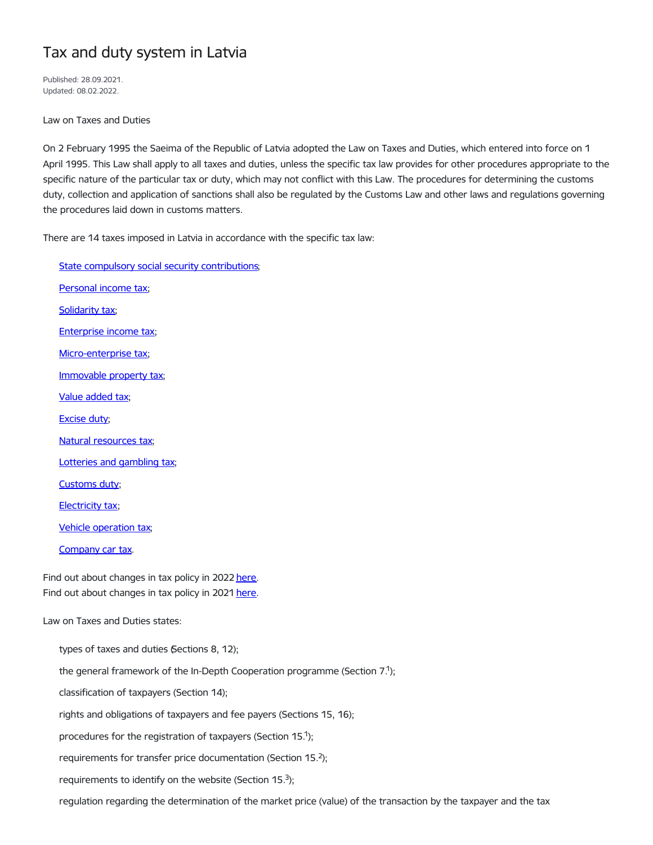## Tax and duty system in Latvia

Published: 28.09.2021. Updated: 08.02.2022.

Law on Taxes and Duties

On 2 February 1995 the Saeima of the Republic of Latvia adopted the Law on Taxes and Duties, which entered into force on 1 April 1995. This Law shall apply to all taxes and duties, unless the specific tax law provides for other procedures appropriate to the specific nature of the particular tax or duty, which may not conflict with this Law. The procedures for determining the customs duty, collection and application of sanctions shall also be regulated by the Customs Law and other laws and regulations governing the procedures laid down in customs matters.

There are 14 taxes imposed in Latvia in accordance with the specific tax law:

Find out about changes in tax policy in 2022 [here](https://www.fm.gov.lv/en/changes-taxation-2022). Find out about changes in tax policy in 2021 [here](https://www.fm.gov.lv/lv/changes-taxes-2021). Law on Taxes and Duties states: State compulsory social security [contributions;](https://www.fm.gov.lv/en/compulsory-state-social-security-contributions) [Personal](https://www.fm.gov.lv/en/personal-income-tax) income tax; [Solidarity](https://www.fm.gov.lv/en/solidarity-tax) tax; [Enterprise](https://www.fm.gov.lv/en/corporate-income-tax) income tax; [Micro-enterprise](https://www.fm.gov.lv/en/micro-enterprise-tax) tax; [Immovable](https://www.fm.gov.lv/en/real-estate-tax) property tax; Value [added](https://www.fm.gov.lv/en/value-added-tax) tax; [Excise](https://www.fm.gov.lv/en/excise-duty-1) duty; Natural [resources](https://www.fm.gov.lv/lv/natural-resources-tax) tax; Lotteries and [gambling](https://www.fm.gov.lv/en/lottery-and-gambling-fee-and-tax) tax; [Customs](https://www.fm.gov.lv/en/customs-duty-1) duty; [Electricity](https://www.fm.gov.lv/en/electricity-tax-1) tax; Vehicle [operation](https://www.fm.gov.lv/en/vehicle-operation-tax) tax; [Company](https://www.fm.gov.lv/en/company-car-tax) car tax. types of taxes and duties (Sections 8, 12); the general framework of the In-Depth Cooperation programme (Section  $7<sup>1</sup>$ ); classification of taxpayers (Section 14); rights and obligations of taxpayers and fee payers (Sections 15, 16); procedures for the registration of taxpayers (Section 15.<sup>1</sup>); requirements for transfer price documentation (Section 15. $2$ ); requirements to identify on the website (Section 15. $3$ ); regulation regarding the determination of the market price (value) of the transaction by the taxpayer and the tax